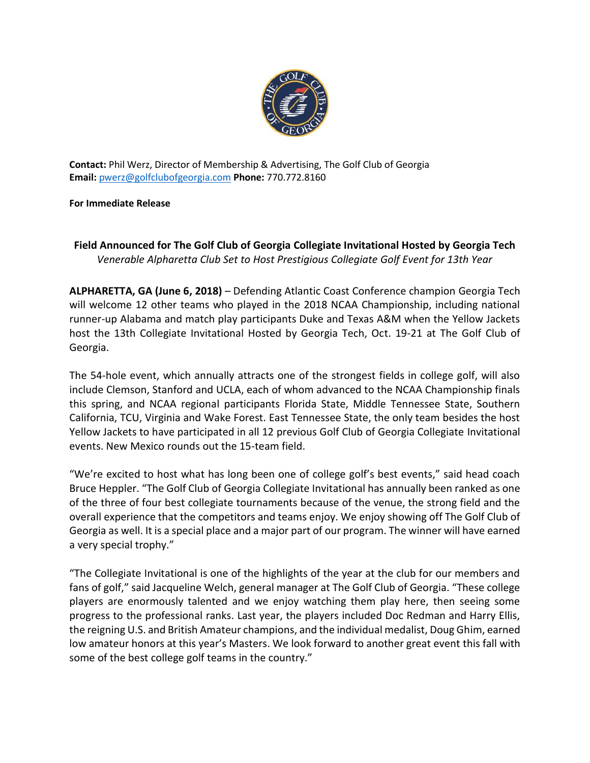

**Contact:** Phil Werz, Director of Membership & Advertising, The Golf Club of Georgia **Email:** [pwerz@golfclubofgeorgia.com](mailto:pwerz@golfclubofgeorgia.com) **Phone:** 770.772.8160

**For Immediate Release**

## **Field Announced for The Golf Club of Georgia Collegiate Invitational Hosted by Georgia Tech**  *Venerable Alpharetta Club Set to Host Prestigious Collegiate Golf Event for 13th Year*

**ALPHARETTA, GA (June 6, 2018)** – Defending Atlantic Coast Conference champion Georgia Tech will welcome 12 other teams who played in the 2018 NCAA Championship, including national runner-up Alabama and match play participants Duke and Texas A&M when the Yellow Jackets host the 13th Collegiate Invitational Hosted by Georgia Tech, Oct. 19-21 at The Golf Club of Georgia.

The 54-hole event, which annually attracts one of the strongest fields in college golf, will also include Clemson, Stanford and UCLA, each of whom advanced to the NCAA Championship finals this spring, and NCAA regional participants Florida State, Middle Tennessee State, Southern California, TCU, Virginia and Wake Forest. East Tennessee State, the only team besides the host Yellow Jackets to have participated in all 12 previous Golf Club of Georgia Collegiate Invitational events. New Mexico rounds out the 15-team field.

"We're excited to host what has long been one of college golf's best events," said head coach Bruce Heppler. "The Golf Club of Georgia Collegiate Invitational has annually been ranked as one of the three of four best collegiate tournaments because of the venue, the strong field and the overall experience that the competitors and teams enjoy. We enjoy showing off The Golf Club of Georgia as well. It is a special place and a major part of our program. The winner will have earned a very special trophy."

"The Collegiate Invitational is one of the highlights of the year at the club for our members and fans of golf," said Jacqueline Welch, general manager at The Golf Club of Georgia. "These college players are enormously talented and we enjoy watching them play here, then seeing some progress to the professional ranks. Last year, the players included Doc Redman and Harry Ellis, the reigning U.S. and British Amateur champions, and the individual medalist, Doug Ghim, earned low amateur honors at this year's Masters. We look forward to another great event this fall with some of the best college golf teams in the country."